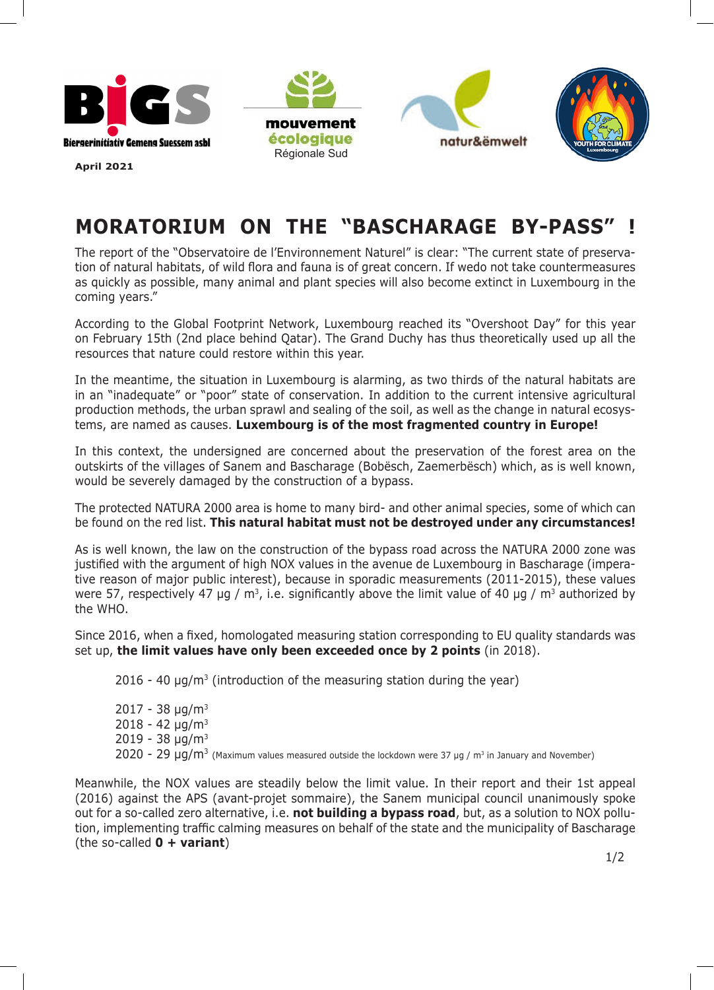







**April 2021**

## **MORATORIUM ON THE "BASCHARAGE BY-PASS" !**

The report of the "Observatoire de l'Environnement Naturel" is clear: "The current state of preservation of natural habitats, of wild flora and fauna is of great concern. If wedo not take countermeasures as quickly as possible, many animal and plant species will also become extinct in Luxembourg in the coming years."

According to the Global Footprint Network, Luxembourg reached its "Overshoot Day" for this year on February 15th (2nd place behind Qatar). The Grand Duchy has thus theoretically used up all the resources that nature could restore within this year.

In the meantime, the situation in Luxembourg is alarming, as two thirds of the natural habitats are in an "inadequate" or "poor" state of conservation. In addition to the current intensive agricultural production methods, the urban sprawl and sealing of the soil, as well as the change in natural ecosystems, are named as causes. **Luxembourg is of the most fragmented country in Europe!**

In this context, the undersigned are concerned about the preservation of the forest area on the outskirts of the villages of Sanem and Bascharage (Bobësch, Zaemerbësch) which, as is well known, would be severely damaged by the construction of a bypass.

The protected NATURA 2000 area is home to many bird- and other animal species, some of which can be found on the red list. **This natural habitat must not be destroyed under any circumstances!**

As is well known, the law on the construction of the bypass road across the NATURA 2000 zone was justified with the argument of high NOX values in the avenue de Luxembourg in Bascharage (imperative reason of major public interest), because in sporadic measurements (2011-2015), these values were 57, respectively 47 µg / m<sup>3</sup>, i.e. significantly above the limit value of 40 µg / m<sup>3</sup> authorized by the WHO.

Since 2016, when a fixed, homologated measuring station corresponding to EU quality standards was set up, **the limit values have only been exceeded once by 2 points** (in 2018).

 $2016 - 40 \mu$ g/m<sup>3</sup> (introduction of the measuring station during the year)

 $2017 - 38 \mu q/m^3$  $2018 - 42 \mu q/m^3$  $2019 - 38 \text{ µg/m}^3$ 2020 - 29 μg/m<sup>3</sup> (Maximum values measured outside the lockdown were 37 μg / m<sup>3</sup> in January and November)

Meanwhile, the NOX values are steadily below the limit value. In their report and their 1st appeal (2016) against the APS (avant-projet sommaire), the Sanem municipal council unanimously spoke out for a so-called zero alternative, i.e. **not building a bypass road**, but, as a solution to NOX pollution, implementing traffic calming measures on behalf of the state and the municipality of Bascharage (the so-called **0 + variant**)